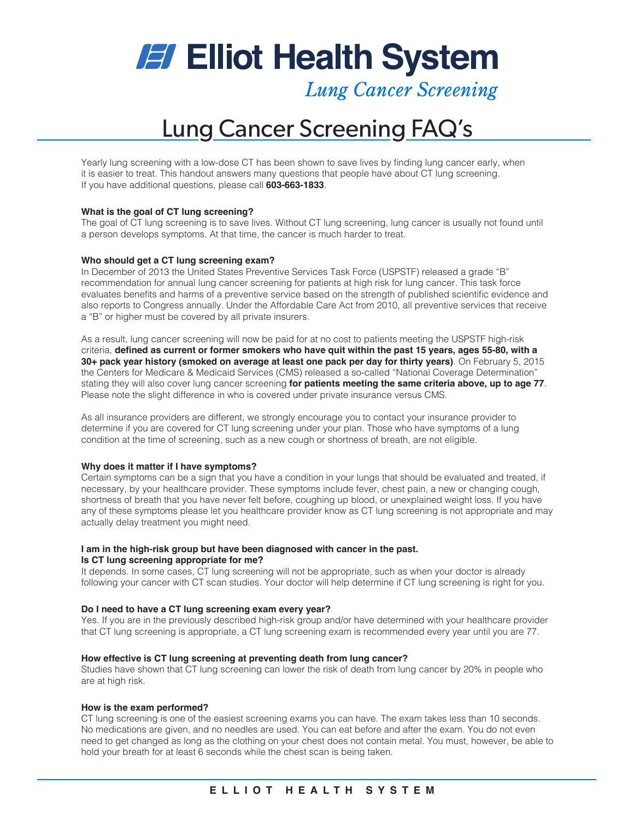**Elliot Health System** 

**Lung Cancer Screening** 

# Lung Cancer Screening FAQ's

Yearly lung screening with a low-dose CT has been shown to save lives by finding lung cancer early, when it is easier to treat. This handout answers many questions that people have about CT lung screening. If you have additional questions, please call **603-663-1833**.

## **What is the goal of CT lung screening?**

The goal of CT lung screening is to save lives. Without CT lung screening, lung cancer is usually not found until a person develops symptoms. At that time, the cancer is much harder to treat.

## **Who should get a CT lung screening exam?**

In December of 2013 the United States Preventive Services Task Force (USPSTF) released a grade "B" recommendation for annual lung cancer screening for patients at high risk for lung cancer. This task force evaluates benefits and harms of a preventive service based on the strength of published scientific evidence and also reports to Congress annually. Under the Affordable Care Act from 2010, all preventive services that receive a "B" or higher must be covered by all private insurers.

As a result, lung cancer screening will now be paid for at no cost to patients meeting the USPSTF high-risk criteria, **defined as current or former smokers who have quit within the past 15 years, ages 55-80, with a 30+ pack year history (smoked on average at least one pack per day for thirty years)**. On February 5, 2015 the Centers for Medicare & Medicaid Services (CMS) released a so-called "National Coverage Determination" stating they will also cover lung cancer screening **for patients meeting the same criteria above, up to age 77**. Please note the slight difference in who is covered under private insurance versus CMS.

As all insurance providers are different, we strongly encourage you to contact your insurance provider to determine if you are covered for CT lung screening under your plan. Those who have symptoms of a lung condition at the time of screening, such as a new cough or shortness of breath, are not eligible.

## **Why does it matter if I have symptoms?**

Certain symptoms can be a sign that you have a condition in your lungs that should be evaluated and treated, if necessary, by your healthcare provider. These symptoms include fever, chest pain, a new or changing cough, shortness of breath that you have never felt before, coughing up blood, or unexplained weight loss. If you have any of these symptoms please let you healthcare provider know as CT lung screening is not appropriate and may actually delay treatment you might need.

#### **I am in the high-risk group but have been diagnosed with cancer in the past. Is CT lung screening appropriate for me?**

It depends. In some cases, CT lung screening will not be appropriate, such as when your doctor is already following your cancer with CT scan studies. Your doctor will help determine if CT lung screening is right for you.

## **Do I need to have a CT lung screening exam every year?**

Yes. If you are in the previously described high-risk group and/or have determined with your healthcare provider that CT lung screening is appropriate, a CT lung screening exam is recommended every year until you are 77.

#### **How effective is CT lung screening at preventing death from lung cancer?**

Studies have shown that CT lung screening can lower the risk of death from lung cancer by 20% in people who are at high risk.

## **How is the exam performed?**

CT lung screening is one of the easiest screening exams you can have. The exam takes less than 10 seconds. No medications are given, and no needles are used. You can eat before and after the exam. You do not even need to get changed as long as the clothing on your chest does not contain metal. You must, however, be able to hold your breath for at least 6 seconds while the chest scan is being taken.

## **ELLIOT HEALTH SYSTEM**